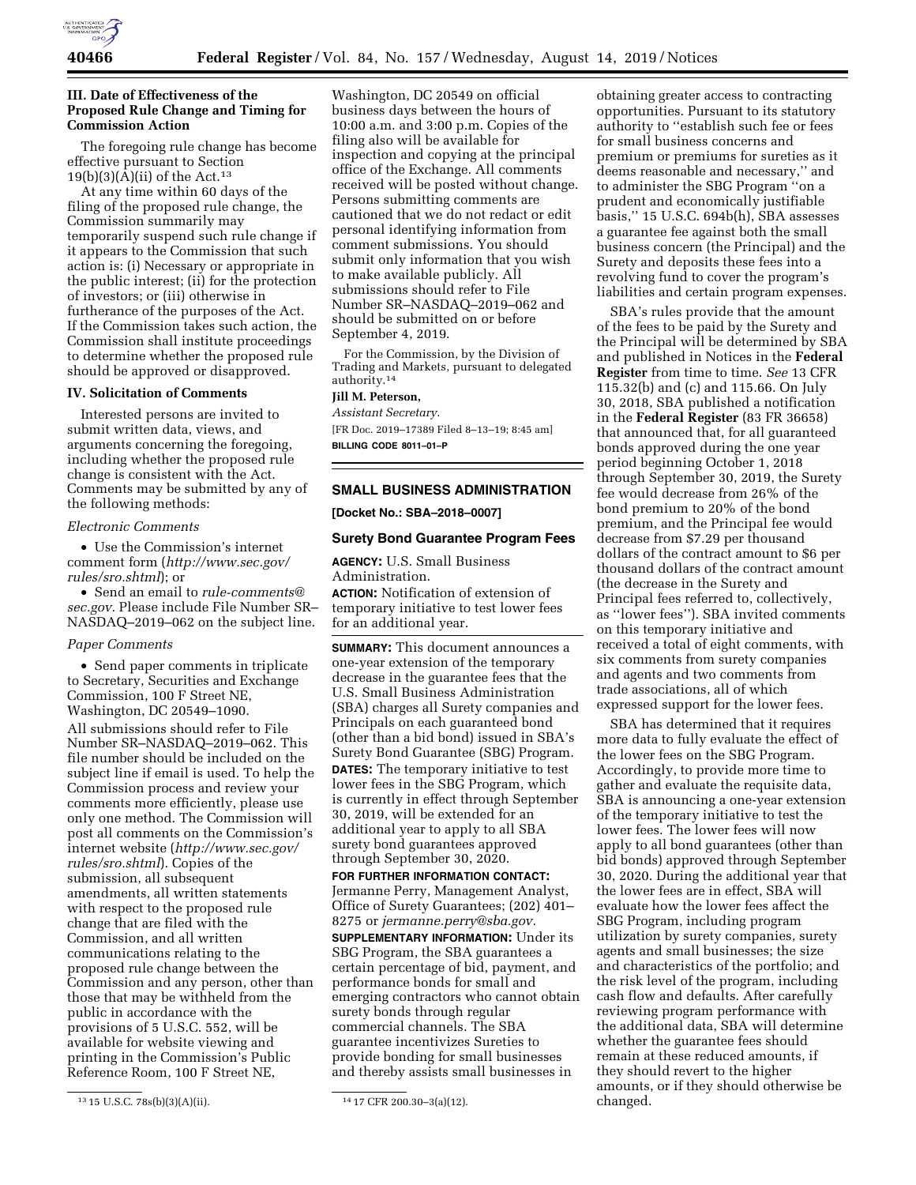

## **III. Date of Effectiveness of the Proposed Rule Change and Timing for Commission Action**

The foregoing rule change has become effective pursuant to Section  $19(b)(3)(A)(ii)$  of the Act.<sup>13</sup>

At any time within 60 days of the filing of the proposed rule change, the Commission summarily may temporarily suspend such rule change if it appears to the Commission that such action is: (i) Necessary or appropriate in the public interest; (ii) for the protection of investors; or (iii) otherwise in furtherance of the purposes of the Act. If the Commission takes such action, the Commission shall institute proceedings to determine whether the proposed rule should be approved or disapproved.

## **IV. Solicitation of Comments**

Interested persons are invited to submit written data, views, and arguments concerning the foregoing, including whether the proposed rule change is consistent with the Act. Comments may be submitted by any of the following methods:

## *Electronic Comments*

• Use the Commission's internet comment form (*[http://www.sec.gov/](http://www.sec.gov/rules/sro.shtml)  [rules/sro.shtml](http://www.sec.gov/rules/sro.shtml)*); or

• Send an email to *[rule-comments@](mailto:rule-comments@sec.gov) [sec.gov.](mailto:rule-comments@sec.gov)* Please include File Number SR– NASDAQ–2019–062 on the subject line.

## *Paper Comments*

• Send paper comments in triplicate to Secretary, Securities and Exchange Commission, 100 F Street NE, Washington, DC 20549–1090.

All submissions should refer to File Number SR–NASDAQ–2019–062. This file number should be included on the subject line if email is used. To help the Commission process and review your comments more efficiently, please use only one method. The Commission will post all comments on the Commission's internet website (*[http://www.sec.gov/](http://www.sec.gov/rules/sro.shtml)  [rules/sro.shtml](http://www.sec.gov/rules/sro.shtml)*). Copies of the submission, all subsequent amendments, all written statements with respect to the proposed rule change that are filed with the Commission, and all written communications relating to the proposed rule change between the Commission and any person, other than those that may be withheld from the public in accordance with the provisions of 5 U.S.C. 552, will be available for website viewing and printing in the Commission's Public Reference Room, 100 F Street NE,

Washington, DC 20549 on official business days between the hours of 10:00 a.m. and 3:00 p.m. Copies of the filing also will be available for inspection and copying at the principal office of the Exchange. All comments received will be posted without change. Persons submitting comments are cautioned that we do not redact or edit personal identifying information from comment submissions. You should submit only information that you wish to make available publicly. All submissions should refer to File Number SR–NASDAQ–2019–062 and should be submitted on or before September 4, 2019.

For the Commission, by the Division of Trading and Markets, pursuant to delegated authority.14

# **Jill M. Peterson,**

*Assistant Secretary.*  [FR Doc. 2019–17389 Filed 8–13–19; 8:45 am] **BILLING CODE 8011–01–P** 

## **SMALL BUSINESS ADMINISTRATION**

**[Docket No.: SBA–2018–0007]** 

#### **Surety Bond Guarantee Program Fees**

**AGENCY:** U.S. Small Business Administration. **ACTION:** Notification of extension of

temporary initiative to test lower fees for an additional year.

**SUMMARY:** This document announces a one-year extension of the temporary decrease in the guarantee fees that the U.S. Small Business Administration (SBA) charges all Surety companies and Principals on each guaranteed bond (other than a bid bond) issued in SBA's Surety Bond Guarantee (SBG) Program. **DATES:** The temporary initiative to test lower fees in the SBG Program, which is currently in effect through September 30, 2019, will be extended for an additional year to apply to all SBA surety bond guarantees approved through September 30, 2020.

**FOR FURTHER INFORMATION CONTACT:**  Jermanne Perry, Management Analyst, Office of Surety Guarantees; (202) 401– 8275 or *[jermanne.perry@sba.gov.](mailto:jermanne.perry@sba.gov)* 

**SUPPLEMENTARY INFORMATION:** Under its SBG Program, the SBA guarantees a certain percentage of bid, payment, and performance bonds for small and emerging contractors who cannot obtain surety bonds through regular commercial channels. The SBA guarantee incentivizes Sureties to provide bonding for small businesses and thereby assists small businesses in

obtaining greater access to contracting opportunities. Pursuant to its statutory authority to ''establish such fee or fees for small business concerns and premium or premiums for sureties as it deems reasonable and necessary,'' and to administer the SBG Program ''on a prudent and economically justifiable basis,'' 15 U.S.C. 694b(h), SBA assesses a guarantee fee against both the small business concern (the Principal) and the Surety and deposits these fees into a revolving fund to cover the program's liabilities and certain program expenses.

SBA's rules provide that the amount of the fees to be paid by the Surety and the Principal will be determined by SBA and published in Notices in the **Federal Register** from time to time. *See* 13 CFR 115.32(b) and (c) and 115.66. On July 30, 2018, SBA published a notification in the **Federal Register** (83 FR 36658) that announced that, for all guaranteed bonds approved during the one year period beginning October 1, 2018 through September 30, 2019, the Surety fee would decrease from 26% of the bond premium to 20% of the bond premium, and the Principal fee would decrease from \$7.29 per thousand dollars of the contract amount to \$6 per thousand dollars of the contract amount (the decrease in the Surety and Principal fees referred to, collectively, as ''lower fees''). SBA invited comments on this temporary initiative and received a total of eight comments, with six comments from surety companies and agents and two comments from trade associations, all of which expressed support for the lower fees.

SBA has determined that it requires more data to fully evaluate the effect of the lower fees on the SBG Program. Accordingly, to provide more time to gather and evaluate the requisite data, SBA is announcing a one-year extension of the temporary initiative to test the lower fees. The lower fees will now apply to all bond guarantees (other than bid bonds) approved through September 30, 2020. During the additional year that the lower fees are in effect, SBA will evaluate how the lower fees affect the SBG Program, including program utilization by surety companies, surety agents and small businesses; the size and characteristics of the portfolio; and the risk level of the program, including cash flow and defaults. After carefully reviewing program performance with the additional data, SBA will determine whether the guarantee fees should remain at these reduced amounts, if they should revert to the higher amounts, or if they should otherwise be changed.

<sup>13 15</sup> U.S.C. 78s(b)(3)(A)(ii). 14 17 CFR 200.30-3(a)(12).